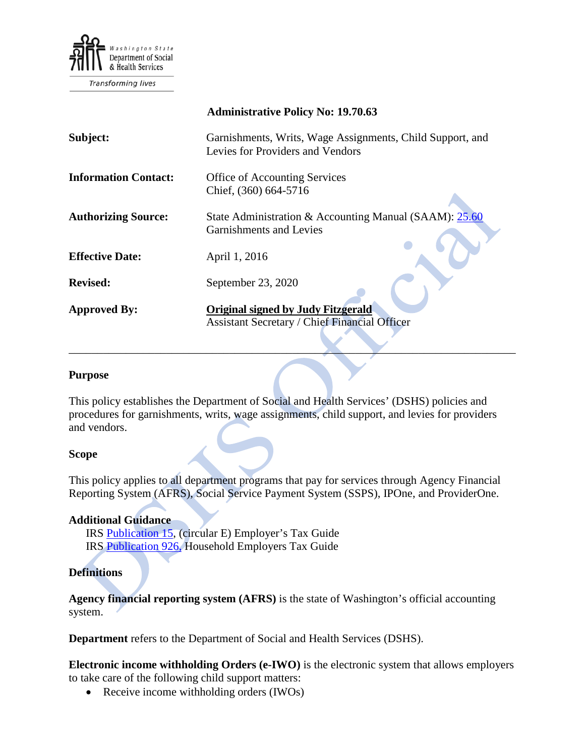

|                             | <b>Administrative Policy No: 19.70.63</b>                                                         |
|-----------------------------|---------------------------------------------------------------------------------------------------|
| Subject:                    | Garnishments, Writs, Wage Assignments, Child Support, and<br>Levies for Providers and Vendors     |
| <b>Information Contact:</b> | <b>Office of Accounting Services</b><br>Chief, (360) 664-5716                                     |
| <b>Authorizing Source:</b>  | State Administration & Accounting Manual (SAAM): 25.60<br><b>Garnishments and Levies</b>          |
| <b>Effective Date:</b>      | April 1, 2016                                                                                     |
| <b>Revised:</b>             | September 23, 2020                                                                                |
| <b>Approved By:</b>         | <b>Original signed by Judy Fitzgerald</b><br><b>Assistant Secretary / Chief Financial Officer</b> |

#### **Purpose**

This policy establishes the Department of Social and Health Services' (DSHS) policies and procedures for garnishments, writs, wage assignments, child support, and levies for providers and vendors.

\_\_\_\_\_\_\_\_\_\_\_\_\_\_\_\_\_\_\_\_\_\_\_\_\_\_\_\_\_\_\_\_\_\_\_\_\_\_\_\_\_\_\_\_\_\_\_\_\_\_\_\_\_\_\_\_\_\_\_\_\_\_\_\_\_\_\_\_\_\_\_\_\_\_\_\_\_\_

### **Scope**

This policy applies to all department programs that pay for services through Agency Financial Reporting System (AFRS), Social Service Payment System (SSPS), IPOne, and ProviderOne.

### **Additional Guidance**

IRS [Publication 15,](https://www.irs.gov/publications/p15/index.html) (circular E) Employer's Tax Guide IRS [Publication 926,](http://www.irs.gov/pub/irs-pdf/p926.pdf) Household Employers Tax Guide

### **Definitions**

**Agency financial reporting system (AFRS)** is the state of Washington's official accounting system.

**Department** refers to the Department of Social and Health Services (DSHS).

**Electronic income withholding Orders (e-IWO)** is the electronic system that allows employers to take care of the following child support matters:

• Receive income withholding orders (IWOs)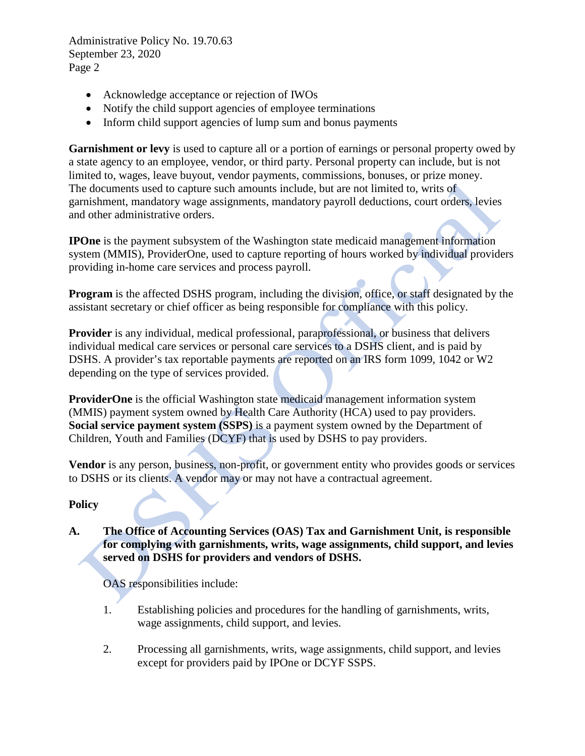Administrative Policy No. 19.70.63 September 23, 2020 Page 2

- Acknowledge acceptance or rejection of IWOs
- Notify the child support agencies of employee terminations
- Inform child support agencies of lump sum and bonus payments

**Garnishment or levy** is used to capture all or a portion of earnings or personal property owed by a state agency to an employee, vendor, or third party. Personal property can include, but is not limited to, wages, leave buyout, vendor payments, commissions, bonuses, or prize money. The documents used to capture such amounts include, but are not limited to, writs of garnishment, mandatory wage assignments, mandatory payroll deductions, court orders, levies and other administrative orders.

**IPOne** is the payment subsystem of the Washington state medicaid management information system (MMIS), ProviderOne, used to capture reporting of hours worked by individual providers providing in-home care services and process payroll.

**Program** is the affected DSHS program, including the division, office, or staff designated by the assistant secretary or chief officer as being responsible for compliance with this policy.

**Provider** is any individual, medical professional, paraprofessional, or business that delivers individual medical care services or personal care services to a DSHS client, and is paid by DSHS. A provider's tax reportable payments are reported on an IRS form 1099, 1042 or W2 depending on the type of services provided.

**ProviderOne** is the official Washington state medicaid management information system (MMIS) payment system owned by Health Care Authority (HCA) used to pay providers. **Social service payment system (SSPS)** is a payment system owned by the Department of Children, Youth and Families (DCYF) that is used by DSHS to pay providers.

**Vendor** is any person, business, non-profit, or government entity who provides goods or services to DSHS or its clients. A vendor may or may not have a contractual agreement.

# **Policy**

# **A. The Office of Accounting Services (OAS) Tax and Garnishment Unit, is responsible for complying with garnishments, writs, wage assignments, child support, and levies served on DSHS for providers and vendors of DSHS.**

OAS responsibilities include:

- 1. Establishing policies and procedures for the handling of garnishments, writs, wage assignments, child support, and levies.
- 2. Processing all garnishments, writs, wage assignments, child support, and levies except for providers paid by IPOne or DCYF SSPS.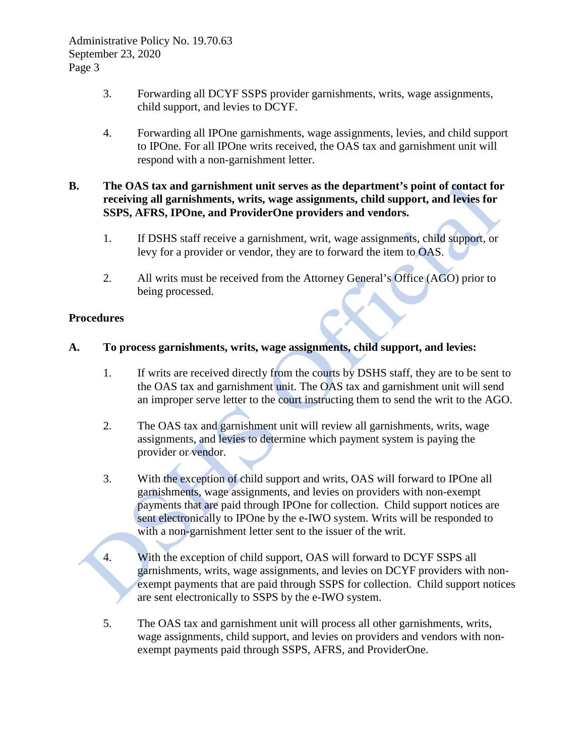- 3. Forwarding all DCYF SSPS provider garnishments, writs, wage assignments, child support, and levies to DCYF.
- 4. Forwarding all IPOne garnishments, wage assignments, levies, and child support to IPOne. For all IPOne writs received, the OAS tax and garnishment unit will respond with a non-garnishment letter.

## **B. The OAS tax and garnishment unit serves as the department's point of contact for receiving all garnishments, writs, wage assignments, child support, and levies for SSPS, AFRS, IPOne, and ProviderOne providers and vendors.**

- 1. If DSHS staff receive a garnishment, writ, wage assignments, child support, or levy for a provider or vendor, they are to forward the item to OAS.
- 2. All writs must be received from the Attorney General's Office (AGO) prior to being processed.

## **Procedures**

## **A. To process garnishments, writs, wage assignments, child support, and levies:**

- 1. If writs are received directly from the courts by DSHS staff, they are to be sent to the OAS tax and garnishment unit. The OAS tax and garnishment unit will send an improper serve letter to the court instructing them to send the writ to the AGO.
- 2. The OAS tax and garnishment unit will review all garnishments, writs, wage assignments, and levies to determine which payment system is paying the provider or vendor.
- 3. With the exception of child support and writs, OAS will forward to IPOne all garnishments, wage assignments, and levies on providers with non-exempt payments that are paid through IPOne for collection. Child support notices are sent electronically to IPOne by the e-IWO system. Writs will be responded to with a non-garnishment letter sent to the issuer of the writ.
- 4. With the exception of child support, OAS will forward to DCYF SSPS all garnishments, writs, wage assignments, and levies on DCYF providers with nonexempt payments that are paid through SSPS for collection. Child support notices are sent electronically to SSPS by the e-IWO system.
- 5. The OAS tax and garnishment unit will process all other garnishments, writs, wage assignments, child support, and levies on providers and vendors with nonexempt payments paid through SSPS, AFRS, and ProviderOne.